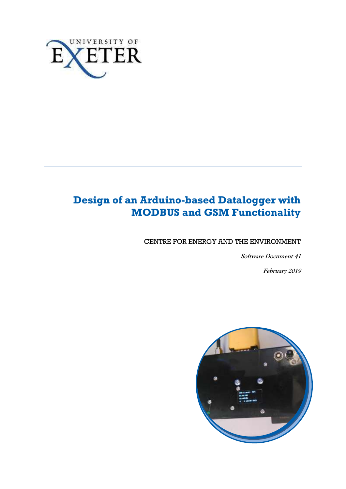

# **Design of an Arduino-based Datalogger with MODBUS and GSM Functionality**

CENTRE FOR ENERGY AND THE ENVIRONMENT

**Software Document 41**

**February 2019**

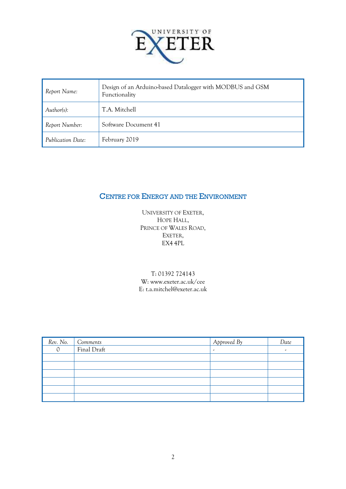

| Report Name:      | Design of an Arduino-based Datalogger with MODBUS and GSM<br>Functionality |  |
|-------------------|----------------------------------------------------------------------------|--|
| Author(s):        | T.A. Mitchell                                                              |  |
| Report Number:    | Software Document 41                                                       |  |
| Publication Date: | February 2019                                                              |  |

# CENTRE FOR ENERGY AND THE ENVIRONMENT

UNIVERSITY OF EXETER, HOPE HALL, PRINCE OF WALES ROAD, EXETER, EX4 4PL

#### T: 01392 724143 W: www.exeter.ac.uk/cee E: t.a.mitchel@exeter.ac.uk

| Rev. No. | Gomments    | Approved By | Date |
|----------|-------------|-------------|------|
|          | Final Draft | ۔           |      |
|          |             |             |      |
|          |             |             |      |
|          |             |             |      |
|          |             |             |      |
|          |             |             |      |
|          |             |             |      |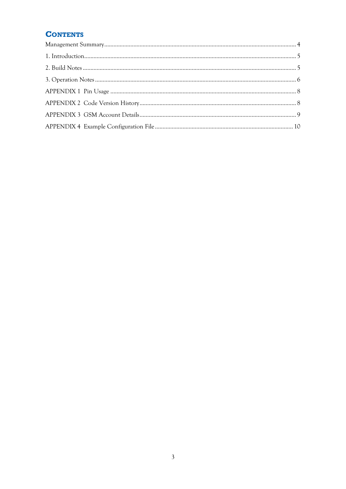# **CONTENTS**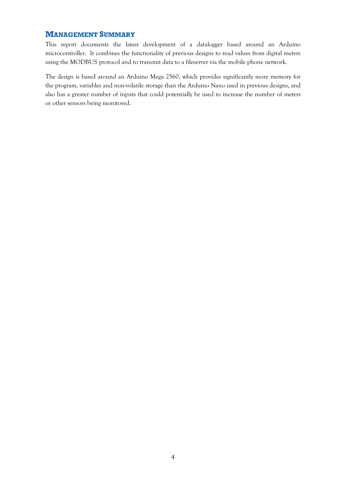#### <span id="page-3-0"></span>**MANAGEMENT SUMMARY**

This report documents the latest development of a datalogger based around an Arduino microcontroller. It combines the functionality of previous designs to read values from digital meters using the MODBUS protocol and to transmit data to a fileserver via the mobile phone network.

The design is based around an Arduino Mega 2560, which provides significantly more memory for the program, variables and non-volatile storage than the Arduino Nano used in previous designs, and also has a greater number of inputs that could potentially be used to increase the number of meters or other sensors being monitored.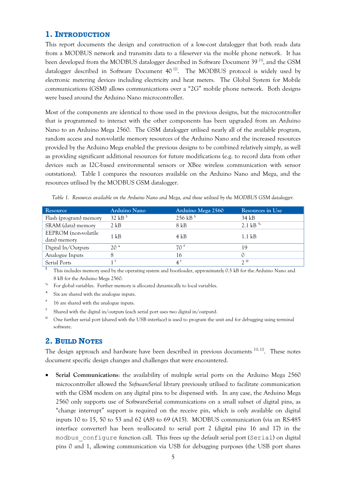### <span id="page-4-0"></span>**1. INTRODUCTION**

This report documents the design and construction of a low-cost datalogger that both reads data from a MODBUS network and transmits data to a fileserver via the moble phone network. It has been developed from the MODBUS datalogger described in Software Document 39<sup>[1]</sup>, and the GSM datalogger described in Software Document  $40^{12}$ . The MODBUS protocol is widely used by electronic metering devices including electricity and heat meters. The Global System for Mobile communications (GSM) allows communications over a "2G" mobile phone network. Both designs were based around the Arduino Nano microcontroller.

Most of the components are identical to those used in the previous designs, but the microcontroller that is programmed to interact with the other components has been upgraded from an Arduino Nano to an Arduino Mega 2560. The GSM datalogger utilised nearly all of the available program, random access and non-volatile memory resources of the Arduino Nano and the increased resources provided by the Arduino Mega enabled the previous designs to be combined relatively simply, as well as providing significant additional resources for future modifications (e.g. to record data from other devices such as I2C-based environmental sensors or XBee wireless communication with sensor outstations). Table 1 compares the resources available on the Arduino Nano and Mega, and the resources utilised by the MODBUS GSM datalogger.

| Resource               | Arduino Nano          | Arduino Mega 2560 | Resources in Use |
|------------------------|-----------------------|-------------------|------------------|
| Flash (program) memory | $32$ kB <sup>\$</sup> | 256 kB $$$        | 34 kB            |
| SRAM (data) memory     | $2$ kB                | 8 kB              | 2.1 kB $%$       |
| EEPROM (non-volatile   | $1 \text{ kB}$        | 4 kB              | $1.1 \text{ kB}$ |
| data) memory           |                       |                   |                  |
| Digital In/Outputs     | $20*$                 | $70$ <sup>#</sup> | 19               |
| Analogue Inputs        |                       | 16                |                  |
| Serial Ports           |                       | $4^{\dagger}$     | $2^{\omega}$     |

*Table 1. Resources available on the Arduino Nano and Mega, and those utilised by the MODBUS GSM datalogger.*

\$ This includes memory used by the operating system and bootloader, approximately 0.5 kB for the Arduino Nano and 8 kB for the Arduino Mega 2560.

- For global variables. Further memory is allocated dynamically to local variables.
- Six are shared with the analogue inputs.
- # 16 are shared with the analogue inputs.
- † Shared with the digital in/outputs (each serial port uses two digital in/outputs).
- <sup>@</sup> One further serial port (shared with the USB interface) is used to program the unit and for debugging using terminal software.

#### <span id="page-4-1"></span>**2. BUILD NOTES**

The design approach and hardware have been described in previous documents <sup>[1], [2]</sup>. These notes document specific design changes and challenges that were encountered.

 **Serial Communications**: the availability of multiple serial ports on the Arduino Mega 2560 microcontroller allowed the *SoftwareSerial* library previously utilised to facilitate communication with the GSM modem on any digital pins to be dispensed with. In any case, the Arduino Mega 2560 only supports use of SoftwareSerial communications on a small subset of digital pins, as "change interrupt" support is required on the receive pin, which is only available on digital inputs 10 to 15, 50 to 53 and 62 (A8) to 69 (A15). MODBUS communication (via an RS-485 interface converter) has been re-allocated to serial port 2 (digital pins 16 and 17) in the modbus\_configure function call. This frees up the default serial port (Serial) on digital pins 0 and 1, allowing communication via USB for debugging purposes (the USB port shares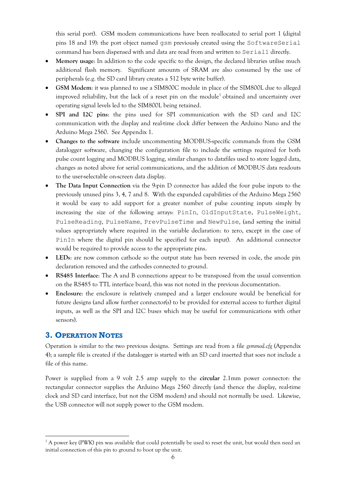this serial port). GSM modem communications have been re-allocated to serial port 1 (digital pins 18 and 19): the port object named gsm previously created using the SoftwareSerial command has been dispensed with and data are read from and written to Serial1 directly.

- **Memory usage**: In addition to the code specific to the design, the declared libraries utilise much additional flash memory. Significant amounts of SRAM are also consumed by the use of peripherals (e.g. the SD card library creates a 512 byte write buffer).
- **GSM Modem**: it was planned to use a SIM800C module in place of the SIM800L due to alleged improved reliability, but the lack of a reset pin on the module<sup>1</sup> obtained and uncertainty over operating signal levels led to the SIM800L being retained.
- **SPI and I2C pins**: the pins used for SPI communication with the SD card and I2C communication with the display and real-time clock differ between the Arduino Nano and the Arduino Mega 2560. See Appendix 1.
- **Changes to the software** include uncommenting MODBUS-specific commands from the GSM datalogger software, changing the configuration file to include the settings required for both pulse count logging and MODBUS logging, similar changes to datafiles used to store logged data, changes as noted above for serial communications, and the addition of MODBUS data readouts to the user-selectable on-screen data display.
- **The Data Input Connection** via the 9-pin D connector has added the four pulse inputs to the previously unused pins 3, 4, 7 and 8. With the expanded capabilities of the Arduino Mega 2560 it would be easy to add support for a greater number of pulse counting inputs simply by increasing the size of the following arrays: PinIn, OldInputState, PulseWeight, PulseReading, PulseName, PrevPulseTime and NewPulse, (and setting the initial values appropriately where required in the variable declaration: to zero, except in the case of PinIn where the digital pin should be specified for each input). An additional connector would be required to provide access to the appropriate pins.
- **LEDs**: are now common cathode so the output state has been reversed in code, the anode pin declaration removed and the cathodes connected to ground.
- **RS485 Interface**: The A and B connections appear to be transposed from the usual convention on the RS485 to TTL interface board, this was not noted in the previous documentation.
- **Enclosure**: the enclosure is relatively cramped and a larger enclosure would be beneficial for future designs (and allow further connector(s) to be provided for external access to further digital inputs, as well as the SPI and I2C buses which may be useful for communications with other sensors).

# <span id="page-5-0"></span>**3. OPERATION NOTES**

<u>.</u>

Operation is similar to the two previous designs. Settings are read from a file *gsmmod.cfg* (Appendix 4); a sample file is created if the datalogger is started with an SD card inserted that soes not include a file of this name.

Power is supplied from a 9 volt 2.5 amp supply to the **circular** 2.1mm power connector: the rectangular connector supplies the Arduino Mega 2560 directly (and thence the display, real-time clock and SD card interface, but not the GSM modem) and should not normally be used. Likewise, the USB connector will not supply power to the GSM modem.

<sup>&</sup>lt;sup>1</sup> A power key (PWK) pin was available that could potentially be used to reset the unit, but would then need an initial connection of this pin to ground to boot up the unit.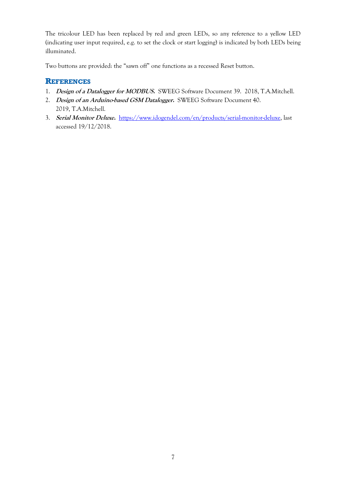The tricolour LED has been replaced by red and green LEDs, so any reference to a yellow LED (indicating user input required, e.g. to set the clock or start logging) is indicated by both LEDs being illuminated.

Two buttons are provided: the "sawn off" one functions as a recessed Reset button.

## **REFERENCES**

- 1. **Design of a Datalogger for MODBUS.** SWEEG Software Document 39. 2018, T.A.Mitchell.
- 2. **Design of an Arduino-based GSM Datalogger.** SWEEG Software Document 40. 2019, T.A.Mitchell.
- <span id="page-6-0"></span>3. **Serial Monitor Deluxe.** [https://www.idogendel.com/en/products/serial-monitor-deluxe,](https://www.idogendel.com/en/products/serial-monitor-deluxe) last accessed 19/12/2018.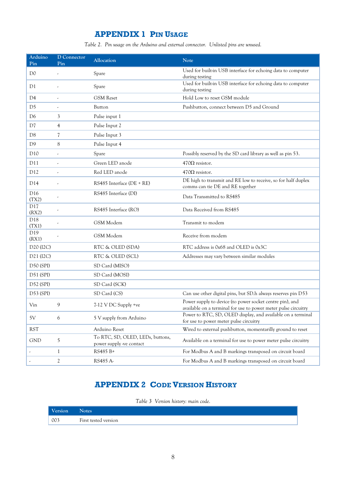# **APPENDIX 1 PIN USAGE**

*Table 2. Pin usage on the Arduino and external connector. Unlisted pins are unused.*

| Arduino<br>Pin                     | <b>D</b> Connector<br>Pin | Allocation                                                   | <b>Note</b>                                                                                                                |
|------------------------------------|---------------------------|--------------------------------------------------------------|----------------------------------------------------------------------------------------------------------------------------|
| D <sub>0</sub>                     |                           | Spare                                                        | Used for built-in USB interface for echoing data to computer<br>during testing                                             |
| D1                                 |                           | Spare                                                        | Used for built-in USB interface for echoing data to computer<br>during testing                                             |
| D4                                 |                           | <b>GSM</b> Reset                                             | Hold Low to reset GSM module                                                                                               |
| D <sub>5</sub>                     |                           | Button                                                       | Pushbutton, connect between D5 and Ground                                                                                  |
| D6                                 | 3                         | Pulse input 1                                                |                                                                                                                            |
| D7                                 | $\overline{4}$            | Pulse Input 2                                                |                                                                                                                            |
| D8                                 | 7                         | Pulse Input 3                                                |                                                                                                                            |
| D <sub>9</sub>                     | 8                         | Pulse Input 4                                                |                                                                                                                            |
| D10                                |                           | Spare                                                        | Possibly reserved by the SD card library as well as pin 53.                                                                |
| D11                                | ä,                        | Green LED anode                                              | $470\Omega$ resistor.                                                                                                      |
| D12                                | $\overline{\phantom{a}}$  | Red LED anode                                                | $470\Omega$ resistor.                                                                                                      |
| D <sub>14</sub>                    |                           | RS485 Interface (DE + RE)                                    | DE high to transmit and RE low to receive, so for half duplex<br>comms can tie DE and RE together                          |
| D <sub>16</sub><br>(TX2)           |                           | RS485 Interface (DI)                                         | Data Transmitted to RS485                                                                                                  |
| D17<br>(RX2)                       |                           | RS485 Interface (RO)                                         | Data Received from RS485                                                                                                   |
| D18<br>(TX1)                       |                           | GSM Modem                                                    | Transmit to modem                                                                                                          |
| D19<br>(RX1)                       |                           | GSM Modem                                                    | Receive from modem                                                                                                         |
| D <sub>20</sub> (I <sub>2C</sub> ) |                           | RTC & OLED (SDA)                                             | RTC address is 0x68 and OLED is 0x3C                                                                                       |
| D <sub>21</sub> (I <sub>2C</sub> ) |                           | RTC & OLED (SCL)                                             | Addresses may vary between similar modules                                                                                 |
| <b>D50 (SPI)</b>                   |                           | SD Card (MISO)                                               |                                                                                                                            |
| <b>D51 (SPI)</b>                   |                           | SD Card (MOSI)                                               |                                                                                                                            |
| <b>D52 (SPI)</b>                   |                           | SD Card (SCK)                                                |                                                                                                                            |
| $D53$ (SPI)                        |                           | SD Card (CS)                                                 | Can use other digital pins, but SD.h always reserves pin D53                                                               |
| Vin                                | 9                         | 7-12 V DC Supply +ve                                         | Power supply to device (to power socket centre pin), and<br>available on a terminal for use to power meter pulse circuitry |
| 5V                                 | 6                         | 5 V supply from Arduino                                      | Power to RTC, SD, OLED display, and available on a terminal<br>for use to power meter pulse circuitry                      |
| <b>RST</b>                         |                           | Arduino Reset                                                | Wired to external pushbutton, momentarilly ground to reset                                                                 |
| <b>GND</b>                         | 5                         | To RTC, SD, OLED, LEDs, buttons,<br>power supply -ve contact | Available on a terminal for use to power meter pulse circuitry                                                             |
|                                    | 1                         | RS485 B+                                                     | For Modbus A and B markings transposed on circuit board                                                                    |
|                                    | 2                         | RS485 A-                                                     | For Modbus A and B markings transposed on circuit board                                                                    |

# **APPENDIX 2 CODE VERSION HISTORY**

*Table 3 Version history: main code.*

<span id="page-7-1"></span><span id="page-7-0"></span>

| Version                                          | <b>Notes</b>         |
|--------------------------------------------------|----------------------|
| $\begin{array}{ c c }\n\hline\n003\n\end{array}$ | First tested version |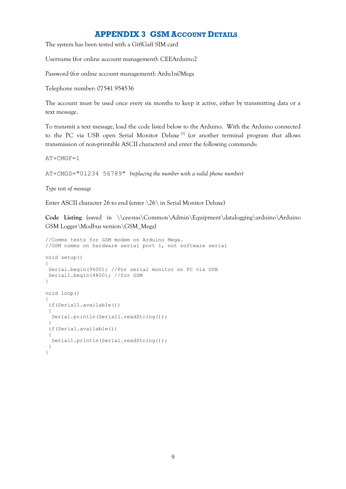## **APPENDIX 3 GSM ACCOUNT DETAILS**

The system has been tested with a GiffGaff SIM card

Username (for online account management): CEEArduino2

Password (for online account management): Ardu1n0Mega

Telephone number: 07541 954536

The account must be used once every six months to keep it active, either by transmitting data or a text message.

To transmit a text message, load the code listed below to the Arduino. With the Arduino connected to the PC via USB open Serial Monitor Deluxe<sup>[3]</sup> (or another terminal program that allows transmission of non-printable ASCII characters) and enter the following commands:

AT+CMGF=1

AT+CMGS="01234 56789" *(replacing the number with a valid phone number)*

*Type text of message*

Enter ASCII character 26 to end (enter \26\ in Serial Monitor Deluxe)

Code Listing (saved in \\cee-nas\Common\Admin\Equipment\datalogging\arduino\Arduino GSM Logger\Modbus version\GSM\_Mega)

```
//Comms tests for GSM modem on Arduino Mega.
//GSM comms on hardware serial port 1, not software serial
void setup() 
{
Serial.begin(9600); //For serial monitor on PC via USB
Serial1.begin(4800); //for GSM
}
void loop() 
{
 if(Serial1.available())
 {
   Serial.println(Serial1.readString());
 }
 if(Serial.available())
 {
 Serial1.println(Serial.readString());
 }
}
```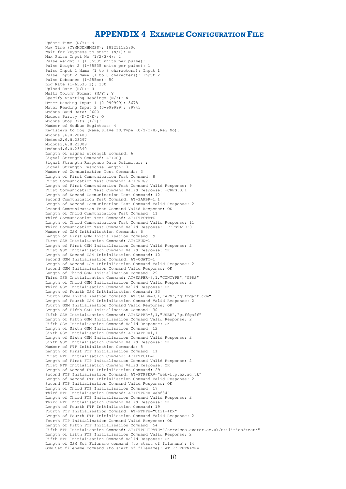#### **APPENDIX 4 EXAMPLE CONFIGURATION FILE**

<span id="page-9-0"></span>Update Time (N/Y): N New Time (YYMMDDHHMMSS): 181211125800 Wait for keypress to start (N/Y): N Max Pulse Input No (1/2/3/4): 2 Pulse Weight 1 (1-65535 units per pulse): 1 Pulse Weight 2 (1-65535 units per pulse): 1 Pulse Input 1 Name (1 to 8 characters): Input 1 Pulse Input 2 Name (1 to 8 characters): Input 2 Pulse Debounce (1-255ms): 50 Log Rate (1-65535 S): 300 Upload Rate (H/D): H Multi Column Format (N/Y): Y Specify Starting Readings (N/Y): N Meter Reading Input 1 (0-999999): 5678 Meter Reading Input 2 (0-999999): 89745 Modbus Baud Rate: 9600 Modbus Parity (N/O/E): O Modbus Stop Bits (1/2): 1 Number of Modbus Registers: 4 Registers to Log (Name, Slave ID, Type (C/S/I/H), Reg No): Modbus1,6,H,20483 Modbus2,6,H,23297 Modbus3,6,H,23309 Modbus4,6,H,23340 Length of signal strength command: 6 Signal Strength Command: AT+CSQ Signal Strength Response Data Delimiter: : Signal Strength Response Length: 3 Number of Communication Test Commands: 3 Length of First Communication Test Command: 8 First Communication Test Command: AT+CREG? Length of First Communication Test Command Valid Response: 9 First Communication Test Command Valid Response: +CREG:0,1 Length of Second Communication Test Command: 12 Second Communication Test Command: AT+SAPBR=1,1 Length of Second Communication Test Command Valid Response: 2 Second Communication Test Command Valid Response: OK Length of Third Communication Test Command: 11 Third Communication Test Command: AT+FTPSTATE Length of Third Communication Test Command Valid Response: 11 Third Communication Test Command Valid Response: +FTPSTATE:0 Number of GSM Initialisation Commands: 6 Length of First GSM Initialisation Command: 9 First GSM Initialisation Command: AT+CFUN=1 Length of First GSM Initialisation Command Valid Response: 2 First GSM Initialisation Command Valid Response: OK Length of Second GSM Initialisation Command: 10 Second GSM Initialisation Command: AT+CGATT=1 Length of Second GSM Initialisation Command Valid Response: 2 Second GSM Initialisation Command Valid Response: OK Length of Third GSM Initialisation Command: 29 Third GSM Initialisation Command: AT+SAPBR=3,1,"CONTYPE","GPRS" Length of Third GSM Initialisation Command Valid Response: 2 Third GSM Initialisation Command Valid Response: OK Length of Fourth GSM Initialisation Command: 33 Fourth GSM Initialisation Command: AT+SAPBR=3,1, "APN", "giffgaff.com" Length of Fourth GSM Initialisation Command Valid Response: 2 Fourth GSM Initialisation Command Valid Response: OK Length of Fifth GSM Initialisation Command: 30 Fifth GSM Initialisation Command: AT+SAPBR=3,1,"USER","giffgaff" Length of Fifth GSM Initialisation Command Valid Response: 2 Fifth GSM Initialisation Command Valid Response: OK Length of Sixth GSM Initialisation Command: 12 Sixth GSM Initialisation Command: AT+SAPBR=1,1 Length of Sixth GSM Initialisation Command Valid Response: 2 Sixth GSM Initialisation Command Valid Response: OK Number of FTP Initialisation Commands: 5 Length of First FTP Initialisation Command: 11 First FTP Initialisation Command: AT+FTPCID=1 Length of First FTP Initialisation Command Valid Response: 2 First FTP Initialisation Command Valid Response: OK Length of Second FTP Initialisation Command: 29 Second FTP Initialisation Command: AT+FTPSERV="web-ftp.ex.ac.uk" Length of Second FTP Initialisation Command Valid Response: 2 Second FTP Initialisation Command Valid Response: OK Length of Third FTP Initialisation Command: 17 Third FTP Initialisation Command: AT+FTPUN="web684" Length of Third FTP Initialisation Command Valid Response: 2 Third FTP Initialisation Command Valid Response: OK Length of Fourth FTP Initialisation Command: 19 Fourth FTP Initialisation Command: AT+FTPPW="Util-4EX" Length of Fourth FTP Initialisation Command Valid Response: 2 Fourth FTP Initialisation Command Valid Response: OK Length of Fifth FTP Initialisation Command: 54 Fifth FTP Initialisation Command: AT+FTPPUTPATH="/services.exeter.ac.uk/utilities/test/" Length of fifth FTP Initialisation Command Valid Response: 2 Fifth FTP Initialisation Command Valid Response: OK Length of GSM Set Filename command (to start of filename): 14 GSM Set filename command (to start of filename): AT+FTPPUTNAME=